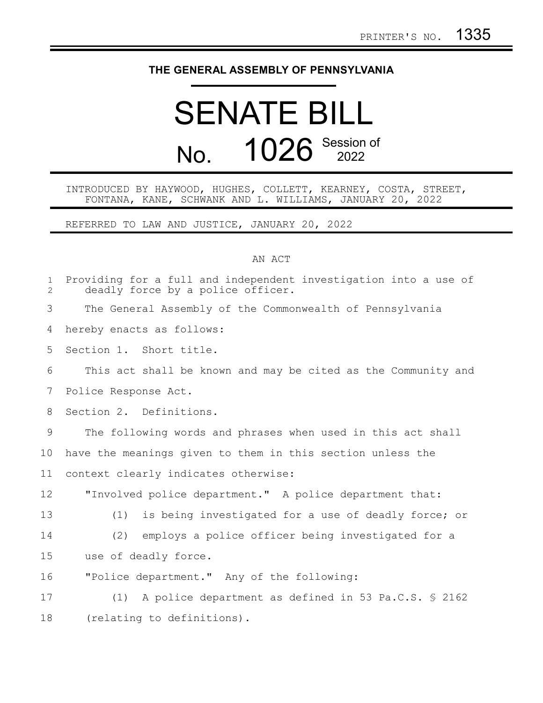## **THE GENERAL ASSEMBLY OF PENNSYLVANIA**

## SENATE BILL No. 1026 Session of

## INTRODUCED BY HAYWOOD, HUGHES, COLLETT, KEARNEY, COSTA, STREET, FONTANA, KANE, SCHWANK AND L. WILLIAMS, JANUARY 20, 2022

REFERRED TO LAW AND JUSTICE, JANUARY 20, 2022

## AN ACT

| $\mathbf 1$<br>$\overline{2}$ | Providing for a full and independent investigation into a use of<br>deadly force by a police officer. |
|-------------------------------|-------------------------------------------------------------------------------------------------------|
| 3                             | The General Assembly of the Commonwealth of Pennsylvania                                              |
| 4                             | hereby enacts as follows:                                                                             |
| 5                             | Section 1. Short title.                                                                               |
| 6                             | This act shall be known and may be cited as the Community and                                         |
| 7                             | Police Response Act.                                                                                  |
| 8                             | Section 2. Definitions.                                                                               |
| 9                             | The following words and phrases when used in this act shall                                           |
| 10                            | have the meanings given to them in this section unless the                                            |
| 11                            | context clearly indicates otherwise:                                                                  |
| 12                            | "Involved police department." A police department that:                                               |
| 13                            | is being investigated for a use of deadly force; or<br>(1)                                            |
| 14                            | employs a police officer being investigated for a<br>(2)                                              |
| 15                            | use of deadly force.                                                                                  |
| 16                            | "Police department." Any of the following:                                                            |
| 17                            | A police department as defined in 53 Pa.C.S. § 2162<br>(1)                                            |
| 18                            | (relating to definitions).                                                                            |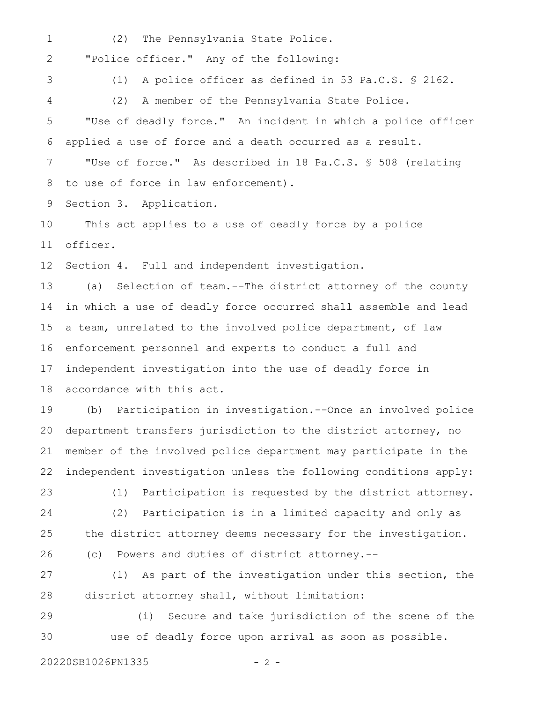(2) The Pennsylvania State Police. 1

"Police officer." Any of the following: 2

3 4 (1) A police officer as defined in 53 Pa.C.S. § 2162.

(2) A member of the Pennsylvania State Police.

"Use of deadly force." An incident in which a police officer applied a use of force and a death occurred as a result. "Use of force." As described in 18 Pa.C.S. § 508 (relating 5 6 7

to use of force in law enforcement). 8

Section 3. Application. 9

This act applies to a use of deadly force by a police officer. 10 11

Section 4. Full and independent investigation. 12

(a) Selection of team.--The district attorney of the county in which a use of deadly force occurred shall assemble and lead a team, unrelated to the involved police department, of law enforcement personnel and experts to conduct a full and independent investigation into the use of deadly force in accordance with this act. 13 14 15 16 17 18

(b) Participation in investigation.--Once an involved police department transfers jurisdiction to the district attorney, no member of the involved police department may participate in the independent investigation unless the following conditions apply: 19 20 21 22

(1) Participation is requested by the district attorney. (2) Participation is in a limited capacity and only as the district attorney deems necessary for the investigation. (c) Powers and duties of district attorney.-- 23 24 25 26

(1) As part of the investigation under this section, the district attorney shall, without limitation: 27 28

(i) Secure and take jurisdiction of the scene of the use of deadly force upon arrival as soon as possible. 29 30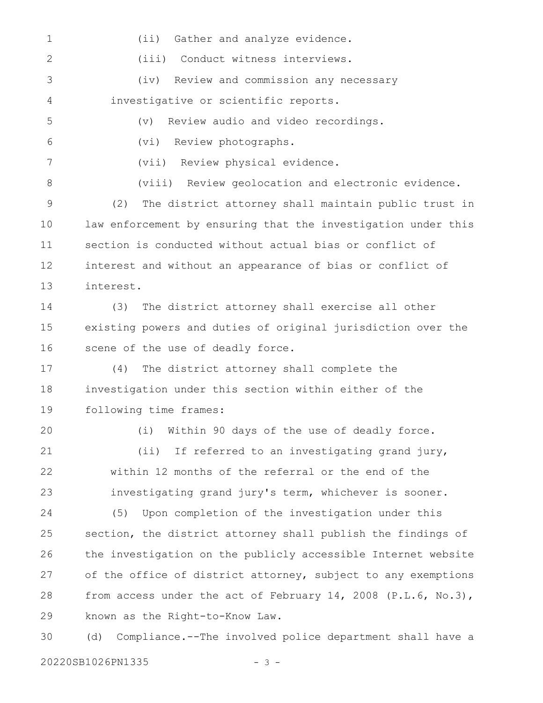(ii) Gather and analyze evidence. (iii) Conduct witness interviews. (iv) Review and commission any necessary investigative or scientific reports. (v) Review audio and video recordings. (vi) Review photographs. (vii) Review physical evidence. (viii) Review geolocation and electronic evidence. (2) The district attorney shall maintain public trust in law enforcement by ensuring that the investigation under this section is conducted without actual bias or conflict of interest and without an appearance of bias or conflict of interest. (3) The district attorney shall exercise all other existing powers and duties of original jurisdiction over the scene of the use of deadly force. (4) The district attorney shall complete the investigation under this section within either of the following time frames: (i) Within 90 days of the use of deadly force. (ii) If referred to an investigating grand jury, within 12 months of the referral or the end of the investigating grand jury's term, whichever is sooner. (5) Upon completion of the investigation under this section, the district attorney shall publish the findings of the investigation on the publicly accessible Internet website of the office of district attorney, subject to any exemptions from access under the act of February 14, 2008 (P.L.6, No.3), known as the Right-to-Know Law. (d) Compliance.--The involved police department shall have a 1 2 3 4 5 6 7 8 9 10 11 12 13 14 15 16 17 18 19 20 21 22 23 24 25 26 27 28 29 30

20220SB1026PN1335 - 3 -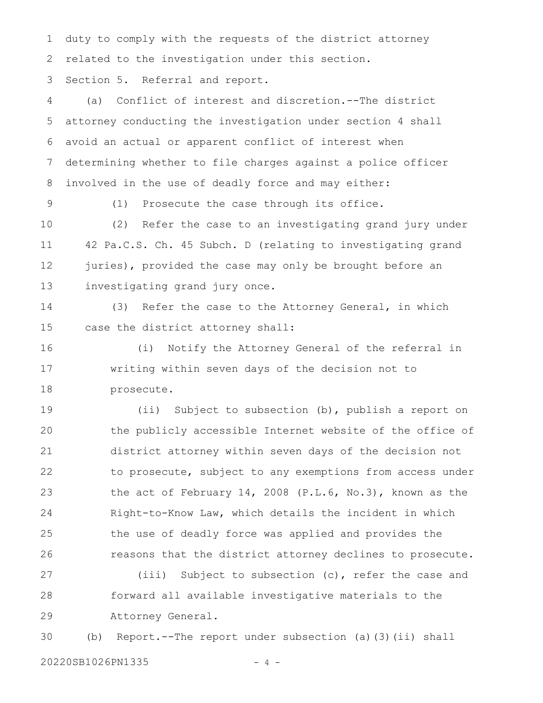duty to comply with the requests of the district attorney related to the investigation under this section. 1 2

Section 5. Referral and report. 3

(a) Conflict of interest and discretion.--The district attorney conducting the investigation under section 4 shall avoid an actual or apparent conflict of interest when determining whether to file charges against a police officer involved in the use of deadly force and may either: 4 5 6 7 8

9

(1) Prosecute the case through its office.

(2) Refer the case to an investigating grand jury under 42 Pa.C.S. Ch. 45 Subch. D (relating to investigating grand juries), provided the case may only be brought before an investigating grand jury once. 10 11 12 13

(3) Refer the case to the Attorney General, in which case the district attorney shall: 14 15

(i) Notify the Attorney General of the referral in writing within seven days of the decision not to prosecute. 16 17 18

(ii) Subject to subsection (b), publish a report on the publicly accessible Internet website of the office of district attorney within seven days of the decision not to prosecute, subject to any exemptions from access under the act of February 14, 2008 (P.L.6, No.3), known as the Right-to-Know Law, which details the incident in which the use of deadly force was applied and provides the reasons that the district attorney declines to prosecute. 19 20 21 22 23 24 25 26

(iii) Subject to subsection (c), refer the case and forward all available investigative materials to the Attorney General. 27 28 29

(b) Report.--The report under subsection (a)(3)(ii) shall 30

20220SB1026PN1335 - 4 -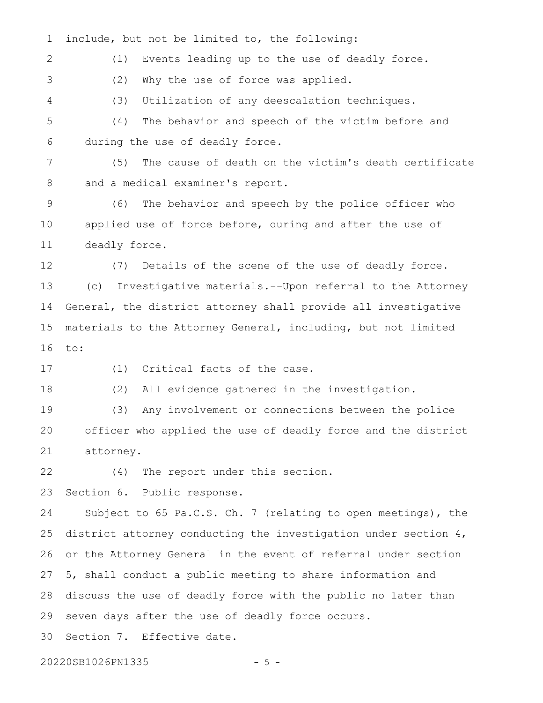include, but not be limited to, the following: 1

(1) Events leading up to the use of deadly force. 2

(2) Why the use of force was applied. 3

(3) Utilization of any deescalation techniques. 4

(4) The behavior and speech of the victim before and during the use of deadly force. 5 6

(5) The cause of death on the victim's death certificate and a medical examiner's report. 7 8

(6) The behavior and speech by the police officer who applied use of force before, during and after the use of deadly force. 9 10 11

(7) Details of the scene of the use of deadly force. (c) Investigative materials.--Upon referral to the Attorney General, the district attorney shall provide all investigative materials to the Attorney General, including, but not limited to: 12 13 14 15 16

17

(1) Critical facts of the case.

(2) All evidence gathered in the investigation. 18

(3) Any involvement or connections between the police officer who applied the use of deadly force and the district attorney. 19 20 21

(4) The report under this section. 22

Section 6. Public response. 23

Subject to 65 Pa.C.S. Ch. 7 (relating to open meetings), the district attorney conducting the investigation under section 4, or the Attorney General in the event of referral under section 5, shall conduct a public meeting to share information and discuss the use of deadly force with the public no later than seven days after the use of deadly force occurs. Section 7. Effective date. 24 25 26 27 28 29 30

20220SB1026PN1335 - 5 -